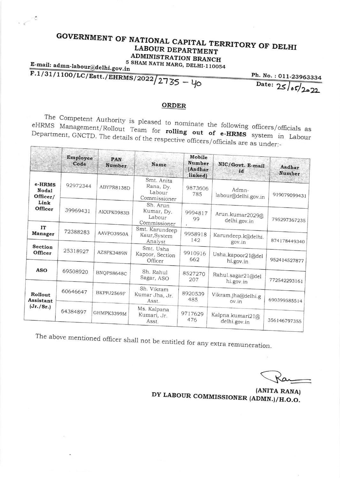## GOVERNMENT OF NATIONAL CAPITAL TERRITORY OF DELHI LABOUR DEPARTMENT **ADMINISTRATION BRANCH**

5 SHAM NATH MARG, DELHI-110054

E-mail: admn-labour@delhi.gov.in

 $\cdot$   $\sim$   $\degree$ 

 $F.1/31/1100/LC/Estt./EHRMS/2022/2735 - 40$ 

Ph. No.: 011-23963334 Date:  $25/05/2022$ 

## ORDER

The Competent Authority is pleased to nominate the following officers/officials as eHRMS Management/Rollout Team for rolling out of e-HRMS system in Labour Department, GNCTD. The details of the respective officers/officials are as under:-

|                                                       | Employee<br>Code | <b>PAN</b><br>Number | <b>Name</b>                                       | Mobile<br>Number<br>(Aadhar<br>linked) | NIC/Govt. E-mail<br>id           | Aadhar<br>Number |
|-------------------------------------------------------|------------------|----------------------|---------------------------------------------------|----------------------------------------|----------------------------------|------------------|
| e-HRMS<br><b>Nodal</b><br>Officer/<br>Link<br>Officer | 92972344         | ABYPR8138D           | Smt. Anita<br>Rana, Dy.<br>Labour<br>Commissioner | 9873606<br>785                         | Admn-<br>labour@delhi.gov.in     | 919079099431     |
|                                                       | 39969431         | AKXPK0983B           | Sh. Arun<br>Kumar, Dy.<br>Labour<br>Commissioner  | 9994817<br>99                          | Arun.kumar2029@<br>delhi.gov.in  | 795297367235     |
| IT<br><b>Manager</b>                                  | 72388283         | AAVPO3950A           | Smt. Karundeep<br>Kaur, System<br>Analyst         | 9958918<br>142                         | Karundeep.k@delhi.<br>gov.in     | 874178449340     |
| Section<br>Officer                                    | 25318927         | AZSPK3489N           | Smt. Usha<br>Kapoor, Section<br>Officer           | 9910916<br>662                         | Usha.kapoor21@del<br>hi.gov.in   | 952414527877     |
| <b>ASO</b>                                            | 69508920         | BNQPS8648C           | Sh. Rahul<br>Sagar, ASO                           | 8527270<br>207                         | Rahul.sagar21@del<br>hi.gov.in   | 772542293161     |
| Rollout<br>Assistant<br>(Jr./Sr.)                     | 60646647         | BKPPJ2569F           | Sh. Vikram<br>Kumar Jha, Jr.<br>Asst.             | 8920539<br>485                         | Vikram.jha@delhi.g<br>ov.in      | 690399585514     |
|                                                       | 64384897         | GHMPK3399M           | Ms. Kalpana<br>Kumari, Jr.<br>Asst.               | 9717629<br>476                         | Kalpna.kumari21@<br>delhi.gov.in | 356146797355     |

The above mentioned officer shall not be entitled for any extra remuneration.

(ANITA RANA) DY LABOUR COMMISSIONER (ADMN.)/H.O.O.